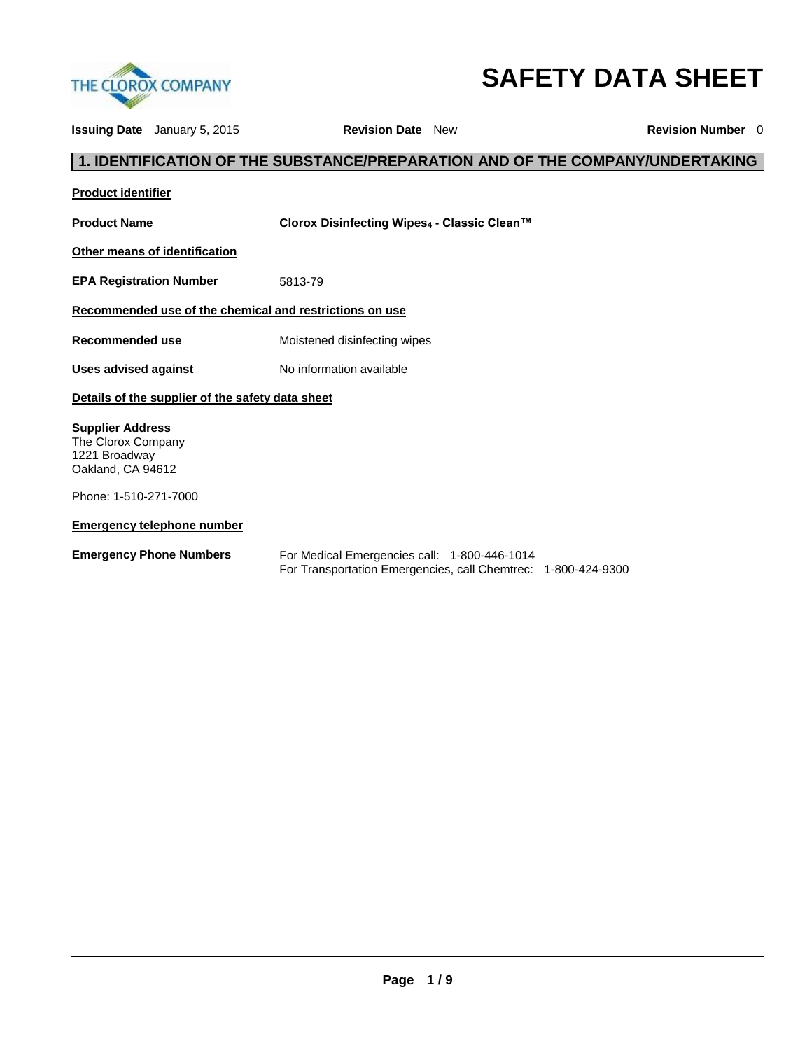

# **SAFETY DATA SHEET**

**Issuing Date** January 5, 2015 **Revision Date** New **Revision Number** 0 **1. IDENTIFICATION OF THE SUBSTANCE/PREPARATION AND OF THE COMPANY/UNDERTAKING Product identifier Product Name Clorox Disinfecting Wipes<sup>4</sup> - Classic Clean™ Other means of identification EPA Registration Number** 5813-79 **Recommended use of the chemical and restrictions on use Recommended use** Moistened disinfecting wipes Uses advised against **No information available Details of the supplier of the safety data sheet Supplier Address** The Clorox Company 1221 Broadway Oakland, CA 94612 Phone: 1-510-271-7000 **Emergency telephone number Emergency Phone Numbers** For Medical Emergencies call: 1-800-446-1014 For Transportation Emergencies, call Chemtrec: 1-800-424-9300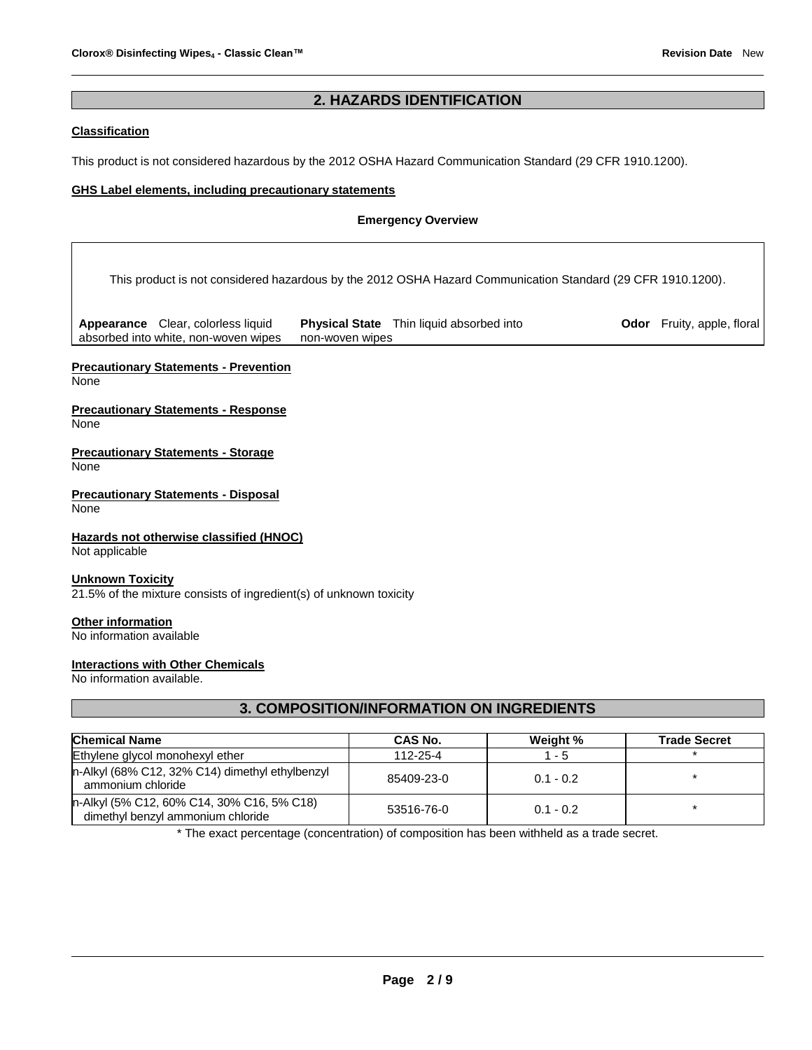# **2. HAZARDS IDENTIFICATION**

## **Classification**

This product is not considered hazardous by the 2012 OSHA Hazard Communication Standard (29 CFR 1910.1200).

## **GHS Label elements, including precautionary statements**

#### **Emergency Overview**

This product is not considered hazardous by the 2012 OSHA Hazard Communication Standard (29 CFR 1910.1200).

**Appearance** Clear, colorless liquid absorbed into white, non-woven wipes **Physical State** Thin liquid absorbed into non-woven wipes

**Odor** Fruity, apple, floral

# **Precautionary Statements - Prevention**

None

#### **Precautionary Statements - Response** None

**Precautionary Statements - Storage** None

**Precautionary Statements - Disposal** None

# **Hazards not otherwise classified (HNOC)**

Not applicable

#### **Unknown Toxicity**

21.5% of the mixture consists of ingredient(s) of unknown toxicity

#### **Other information**

No information available

## **Interactions with Other Chemicals**

No information available.

# **3. COMPOSITION/INFORMATION ON INGREDIENTS**

| <b>Chemical Name</b>                                                            | CAS No.        | Weight %    | <b>Trade Secret</b> |
|---------------------------------------------------------------------------------|----------------|-------------|---------------------|
| Ethylene glycol monohexyl ether                                                 | $112 - 25 - 4$ | 1 - 5       |                     |
| n-Alkyl (68% C12, 32% C14) dimethyl ethylbenzyl<br>ammonium chloride            | 85409-23-0     | $0.1 - 0.2$ |                     |
| n-Alkyl (5% C12, 60% C14, 30% C16, 5% C18)<br>dimethyl benzyl ammonium chloride | 53516-76-0     | $0.1 - 0.2$ |                     |

\* The exact percentage (concentration) of composition has been withheld as a trade secret.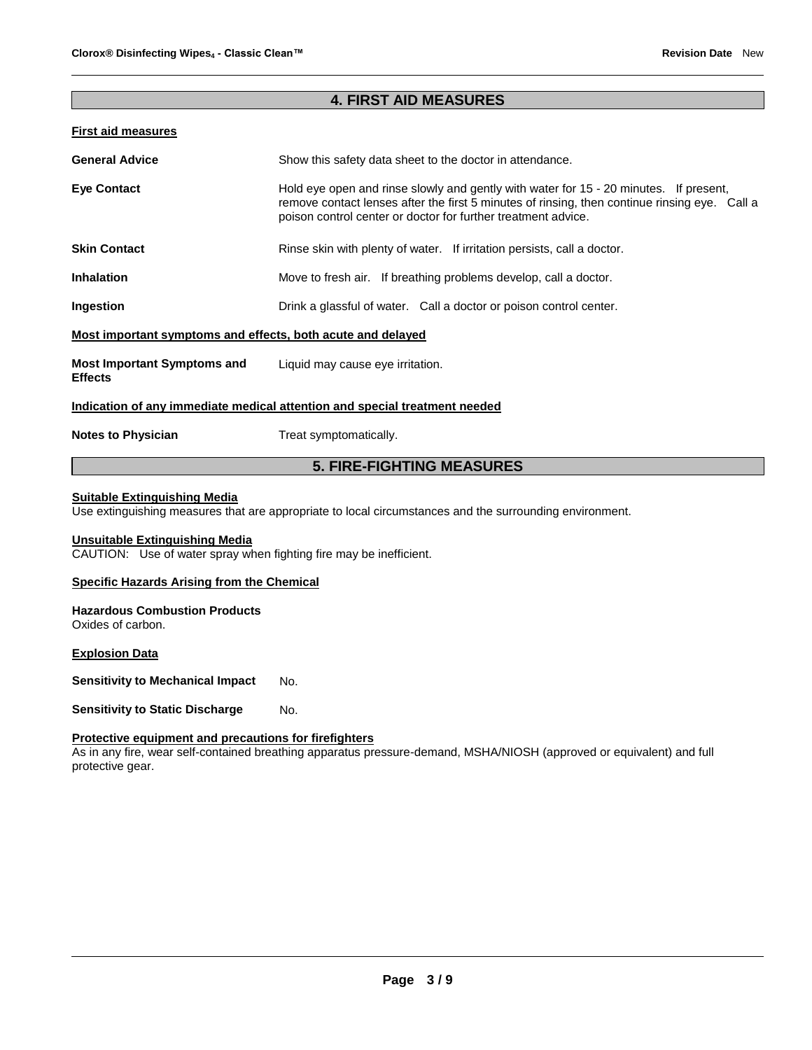# **4. FIRST AID MEASURES**

## **First aid measures**

| <b>General Advice</b>                                                      | Show this safety data sheet to the doctor in attendance.                                                                                                                                                                                                |  |
|----------------------------------------------------------------------------|---------------------------------------------------------------------------------------------------------------------------------------------------------------------------------------------------------------------------------------------------------|--|
| <b>Eye Contact</b>                                                         | Hold eye open and rinse slowly and gently with water for 15 - 20 minutes. If present,<br>remove contact lenses after the first 5 minutes of rinsing, then continue rinsing eye. Call a<br>poison control center or doctor for further treatment advice. |  |
| <b>Skin Contact</b>                                                        | Rinse skin with plenty of water. If irritation persists, call a doctor.                                                                                                                                                                                 |  |
| <b>Inhalation</b>                                                          | Move to fresh air. If breathing problems develop, call a doctor.                                                                                                                                                                                        |  |
| Ingestion                                                                  | Drink a glassful of water. Call a doctor or poison control center.                                                                                                                                                                                      |  |
| Most important symptoms and effects, both acute and delayed                |                                                                                                                                                                                                                                                         |  |
| <b>Most Important Symptoms and</b><br><b>Effects</b>                       | Liquid may cause eye irritation.                                                                                                                                                                                                                        |  |
| Indication of any immediate medical attention and special treatment needed |                                                                                                                                                                                                                                                         |  |
| <b>Notes to Physician</b>                                                  | Treat symptomatically.                                                                                                                                                                                                                                  |  |

# **5. FIRE-FIGHTING MEASURES**

# **Suitable Extinguishing Media**

Use extinguishing measures that are appropriate to local circumstances and the surrounding environment.

## **Unsuitable Extinguishing Media**

CAUTION: Use of water spray when fighting fire may be inefficient.

## **Specific Hazards Arising from the Chemical**

#### **Hazardous Combustion Products** Oxides of carbon.

**Explosion Data**

**Sensitivity to Mechanical Impact No.** 

**Sensitivity to Static Discharge Mo.** 

## **Protective equipment and precautions for firefighters**

As in any fire, wear self-contained breathing apparatus pressure-demand, MSHA/NIOSH (approved or equivalent) and full protective gear.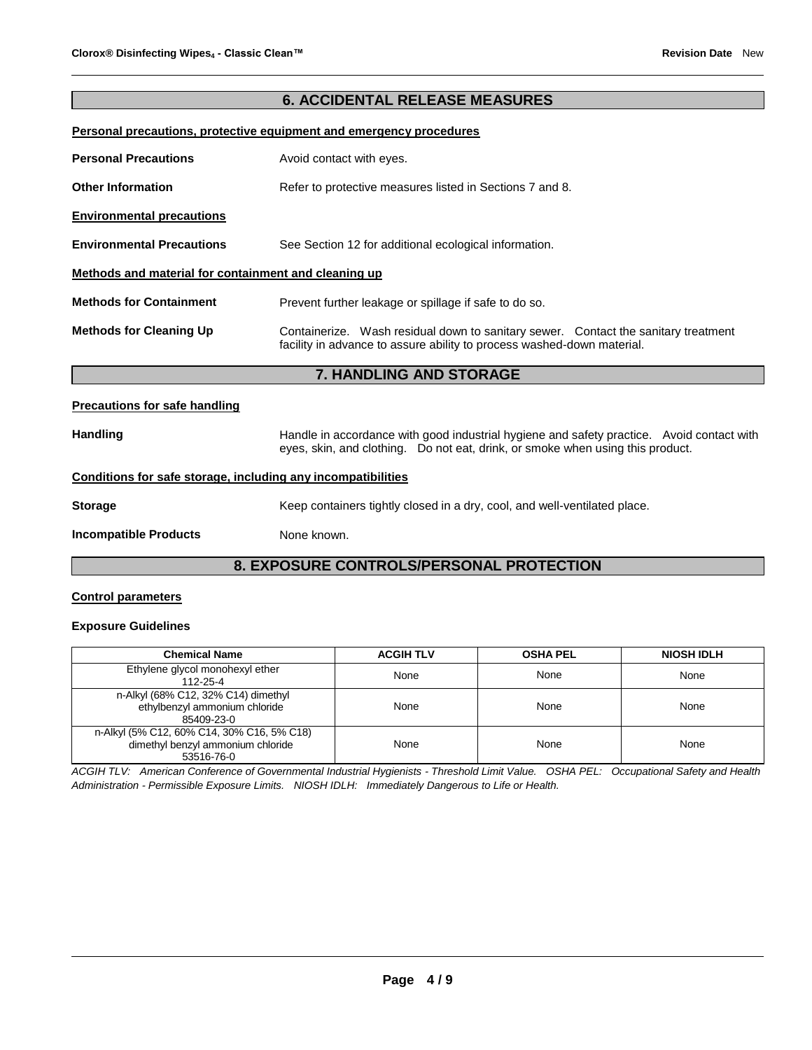# **6. ACCIDENTAL RELEASE MEASURES**

## **Personal precautions, protective equipment and emergency procedures**

|                                                      | <b>7. HANDLING AND STORAGE</b>                                                                                                                               |
|------------------------------------------------------|--------------------------------------------------------------------------------------------------------------------------------------------------------------|
| <b>Methods for Cleaning Up</b>                       | Containerize. Wash residual down to sanitary sewer. Contact the sanitary treatment<br>facility in advance to assure ability to process washed-down material. |
| <b>Methods for Containment</b>                       | Prevent further leakage or spillage if safe to do so.                                                                                                        |
| Methods and material for containment and cleaning up |                                                                                                                                                              |
| <b>Environmental Precautions</b>                     | See Section 12 for additional ecological information.                                                                                                        |
| <b>Environmental precautions</b>                     |                                                                                                                                                              |
| <b>Other Information</b>                             | Refer to protective measures listed in Sections 7 and 8.                                                                                                     |
| <b>Personal Precautions</b>                          | Avoid contact with eyes.                                                                                                                                     |

#### **Precautions for safe handling**

Handling **Handle in accordance with good industrial hygiene and safety practice. Avoid contact with** eyes, skin, and clothing. Do not eat, drink, or smoke when using this product.

## **Conditions for safe storage, including any incompatibilities**

| Storage | Keep containers tightly closed in a dry, cool, and well-ventilated place. |  |
|---------|---------------------------------------------------------------------------|--|

**Incompatible Products** None known.

# **8. EXPOSURE CONTROLS/PERSONAL PROTECTION**

## **Control parameters**

#### **Exposure Guidelines**

| <b>Chemical Name</b>                                                                          | <b>ACGIH TLV</b> | <b>OSHA PEL</b> | <b>NIOSH IDLH</b> |
|-----------------------------------------------------------------------------------------------|------------------|-----------------|-------------------|
| Ethylene glycol monohexyl ether<br>112-25-4                                                   | None             | None            | None              |
| n-Alkyl (68% C12, 32% C14) dimethyl<br>ethylbenzyl ammonium chloride<br>85409-23-0            | None             | None            | None              |
| n-Alkyl (5% C12, 60% C14, 30% C16, 5% C18)<br>dimethyl benzyl ammonium chloride<br>53516-76-0 | None             | None            | None              |

*ACGIH TLV: American Conference of Governmental Industrial Hygienists - Threshold Limit Value. OSHA PEL: Occupational Safety and Health Administration - Permissible Exposure Limits. NIOSH IDLH: Immediately Dangerous to Life or Health.*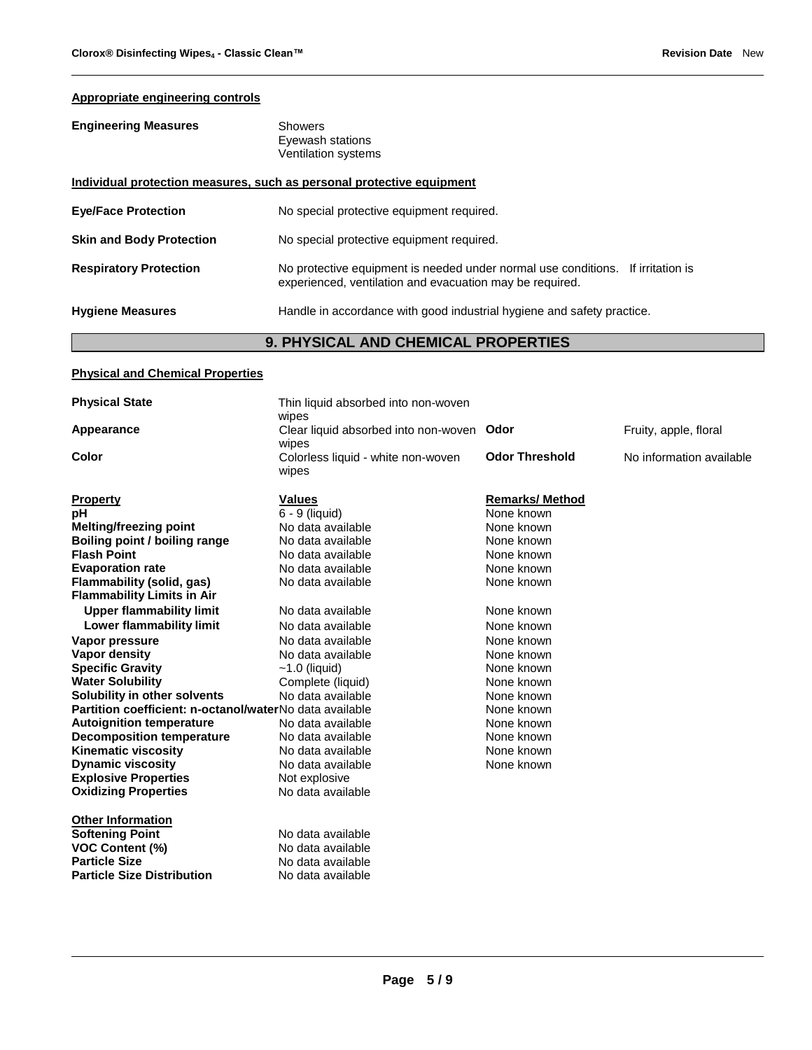# **Appropriate engineering controls**

| <b>Engineering Measures</b>     | <b>Showers</b><br>Eyewash stations<br><b>Ventilation systems</b>                                                                               |
|---------------------------------|------------------------------------------------------------------------------------------------------------------------------------------------|
|                                 | Individual protection measures, such as personal protective equipment                                                                          |
| <b>Eye/Face Protection</b>      | No special protective equipment required.                                                                                                      |
| <b>Skin and Body Protection</b> | No special protective equipment required.                                                                                                      |
| <b>Respiratory Protection</b>   | No protective equipment is needed under normal use conditions.<br>If irritation is<br>experienced, ventilation and evacuation may be required. |
| <b>Hygiene Measures</b>         | Handle in accordance with good industrial hygiene and safety practice.                                                                         |
|                                 | <b>9. PHYSICAL AND CHEMICAL PROPERTIES</b>                                                                                                     |

# **Physical and Chemical Properties**

| <b>Physical State</b>                                          | Thin liquid absorbed into non-woven<br>wipes       |                       |                          |
|----------------------------------------------------------------|----------------------------------------------------|-----------------------|--------------------------|
| Appearance                                                     | Clear liquid absorbed into non-woven Odor<br>wipes |                       | Fruity, apple, floral    |
| Color                                                          | Colorless liquid - white non-woven<br>wipes        | <b>Odor Threshold</b> | No information available |
| <b>Property</b>                                                | <b>Values</b>                                      | <b>Remarks/Method</b> |                          |
| pH                                                             | 6 - 9 (liquid)                                     | None known            |                          |
| <b>Melting/freezing point</b>                                  | No data available                                  | None known            |                          |
| Boiling point / boiling range                                  | No data available                                  | None known            |                          |
| <b>Flash Point</b>                                             | No data available                                  | None known            |                          |
| <b>Evaporation rate</b>                                        | No data available                                  | None known            |                          |
| Flammability (solid, gas)<br><b>Flammability Limits in Air</b> | No data available                                  | None known            |                          |
| <b>Upper flammability limit</b>                                | No data available                                  | None known            |                          |
| Lower flammability limit                                       | No data available                                  | None known            |                          |
| Vapor pressure                                                 | No data available                                  | None known            |                          |
| Vapor density                                                  | No data available                                  | None known            |                          |
| <b>Specific Gravity</b>                                        | $~1.0$ (liquid)                                    | None known            |                          |
| <b>Water Solubility</b>                                        | Complete (liquid)                                  | None known            |                          |
| Solubility in other solvents                                   | No data available                                  | None known            |                          |
| Partition coefficient: n-octanol/waterNo data available        |                                                    | None known            |                          |
| <b>Autoignition temperature</b>                                | No data available                                  | None known            |                          |
| <b>Decomposition temperature</b>                               | No data available                                  | None known            |                          |
| <b>Kinematic viscosity</b>                                     | No data available                                  | None known            |                          |
| <b>Dynamic viscosity</b>                                       | No data available                                  | None known            |                          |
| <b>Explosive Properties</b>                                    | Not explosive                                      |                       |                          |
| <b>Oxidizing Properties</b>                                    | No data available                                  |                       |                          |
| <b>Other Information</b>                                       |                                                    |                       |                          |
| <b>Softening Point</b>                                         | No data available                                  |                       |                          |
| <b>VOC Content (%)</b>                                         | No data available                                  |                       |                          |
| <b>Particle Size</b>                                           | No data available                                  |                       |                          |
| <b>Particle Size Distribution</b>                              | No data available                                  |                       |                          |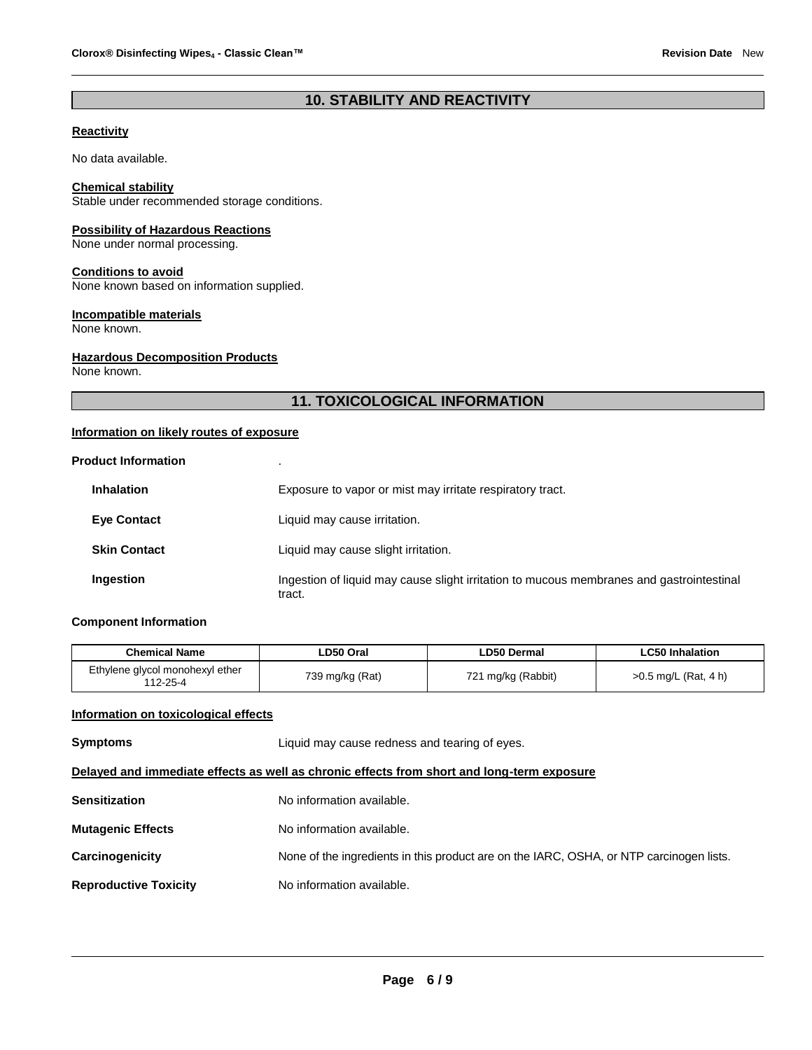# **10. STABILITY AND REACTIVITY**

# **Reactivity**

No data available.

#### **Chemical stability**

Stable under recommended storage conditions.

## **Possibility of Hazardous Reactions**

None under normal processing.

#### **Conditions to avoid**

None known based on information supplied.

#### **Incompatible materials**

None known.

## **Hazardous Decomposition Products**

None known.

# **11. TOXICOLOGICAL INFORMATION**

## **Information on likely routes of exposure**

| <b>Product Information</b> |                                                                                                    |
|----------------------------|----------------------------------------------------------------------------------------------------|
| <b>Inhalation</b>          | Exposure to vapor or mist may irritate respiratory tract.                                          |
| <b>Eye Contact</b>         | Liquid may cause irritation.                                                                       |
| <b>Skin Contact</b>        | Liquid may cause slight irritation.                                                                |
| Ingestion                  | Ingestion of liquid may cause slight irritation to mucous membranes and gastrointestinal<br>tract. |

## **Component Information**

| <b>Chemical Name</b>                        | LD50 Oral       | LD50 Dermal        | <b>LC50 Inhalation</b> |
|---------------------------------------------|-----------------|--------------------|------------------------|
| Ethylene glycol monohexyl ether<br>112-25-4 | 739 mg/kg (Rat) | 721 mg/kg (Rabbit) | $>0.5$ mg/L (Rat, 4 h) |

## **Information on toxicological effects**

| <b>Symptoms</b>                                                                            | Liquid may cause redness and tearing of eyes.                                           |  |
|--------------------------------------------------------------------------------------------|-----------------------------------------------------------------------------------------|--|
| Delayed and immediate effects as well as chronic effects from short and long-term exposure |                                                                                         |  |
| <b>Sensitization</b>                                                                       | No information available.                                                               |  |
| <b>Mutagenic Effects</b>                                                                   | No information available.                                                               |  |
| Carcinogenicity                                                                            | None of the ingredients in this product are on the IARC, OSHA, or NTP carcinogen lists. |  |
| <b>Reproductive Toxicity</b>                                                               | No information available.                                                               |  |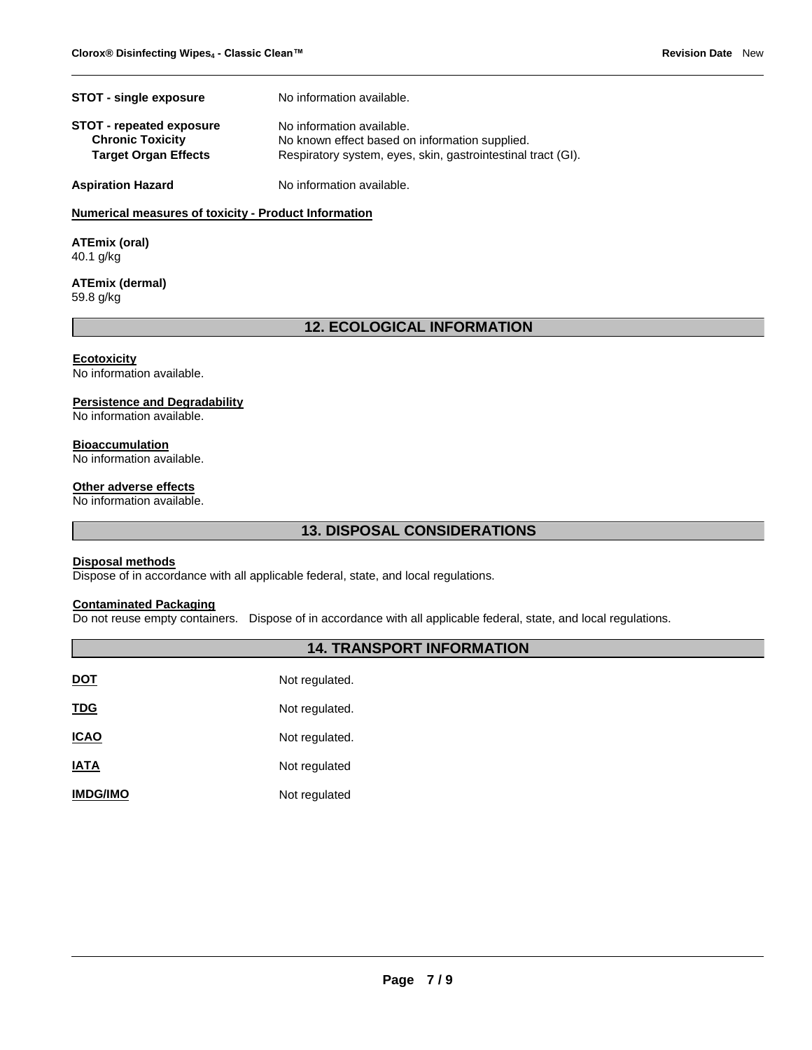| <b>STOT - single exposure</b>                              | No information available.                                                   |
|------------------------------------------------------------|-----------------------------------------------------------------------------|
| <b>STOT - repeated exposure</b><br><b>Chronic Toxicity</b> | No information available.<br>No known effect based on information supplied. |
| <b>Target Organ Effects</b>                                | Respiratory system, eyes, skin, gastrointestinal tract (GI).                |
| <b>Aspiration Hazard</b>                                   | No information available.                                                   |

# **Numerical measures of toxicity - Product Information**

**ATEmix (oral)** 40.1 g/kg

#### **ATEmix (dermal)** 59.8 g/kg

# **12. ECOLOGICAL INFORMATION**

#### **Ecotoxicity**

No information available.

#### **Persistence and Degradability**

No information available.

#### **Bioaccumulation**

No information available.

#### **Other adverse effects**

No information available.

# **13. DISPOSAL CONSIDERATIONS**

## **Disposal methods**

Dispose of in accordance with all applicable federal, state, and local regulations.

# **Contaminated Packaging**

Do not reuse empty containers. Dispose of in accordance with all applicable federal, state, and local regulations.

# **14. TRANSPORT INFORMATION**

| DOT             | Not regulated. |
|-----------------|----------------|
| <u>TDG</u>      | Not regulated. |
| ICAO            | Not regulated. |
| IATA            | Not regulated  |
| <b>IMDG/IMO</b> | Not regulated  |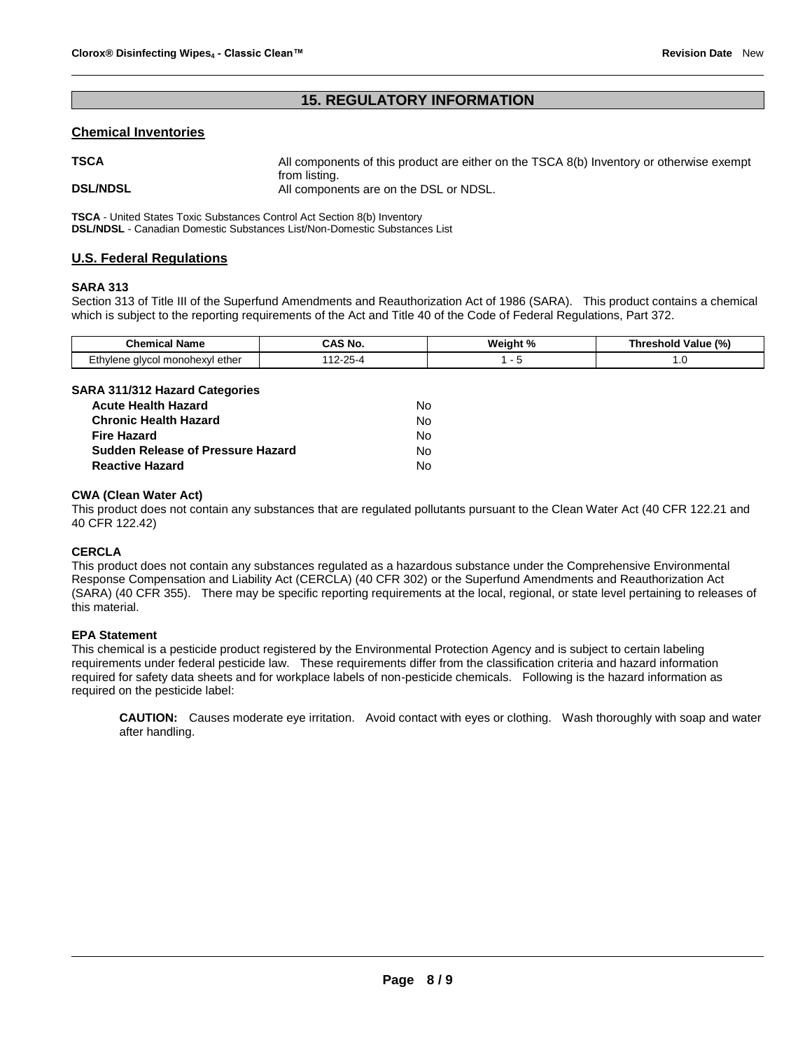# **15. REGULATORY INFORMATION**

## **Chemical Inventories**

| <b>TSCA</b>     | All components of this product are either on the TSCA 8(b) Inventory or otherwise exempt |
|-----------------|------------------------------------------------------------------------------------------|
| <b>DSL/NDSL</b> | from listing.<br>All components are on the DSL or NDSL.                                  |

**TSCA** - United States Toxic Substances Control Act Section 8(b) Inventory **DSL/NDSL** - Canadian Domestic Substances List/Non-Domestic Substances List

## **U.S. Federal Regulations**

#### **SARA 313**

Section 313 of Title III of the Superfund Amendments and Reauthorization Act of 1986 (SARA). This product contains a chemical which is subject to the reporting requirements of the Act and Title 40 of the Code of Federal Regulations, Part 372.

| Chem<br><b>Name</b>                         | ' No   | w.<br>. د ه<br>- 70 | (%)<br>----<br>raiue<br>nre.<br>nor |
|---------------------------------------------|--------|---------------------|-------------------------------------|
| _hvlene −<br>ether<br>a monohexyl<br>alvcol | ______ |                     | <b></b>                             |

# **SARA 311/312 Hazard Categories**

| <b>Acute Health Hazard</b>        | N٥ |
|-----------------------------------|----|
| <b>Chronic Health Hazard</b>      | N٥ |
| <b>Fire Hazard</b>                | N٥ |
| Sudden Release of Pressure Hazard | N٥ |
| <b>Reactive Hazard</b>            | N٥ |

## **CWA (Clean Water Act)**

This product does not contain any substances that are regulated pollutants pursuant to the Clean Water Act (40 CFR 122.21 and 40 CFR 122.42)

## **CERCLA**

This product does not contain any substances regulated as a hazardous substance under the Comprehensive Environmental Response Compensation and Liability Act (CERCLA) (40 CFR 302) or the Superfund Amendments and Reauthorization Act (SARA) (40 CFR 355). There may be specific reporting requirements at the local, regional, or state level pertaining to releases of this material.

## **EPA Statement**

This chemical is a pesticide product registered by the Environmental Protection Agency and is subject to certain labeling requirements under federal pesticide law. These requirements differ from the classification criteria and hazard information required for safety data sheets and for workplace labels of non-pesticide chemicals. Following is the hazard information as required on the pesticide label:

**CAUTION:** Causes moderate eye irritation. Avoid contact with eyes or clothing. Wash thoroughly with soap and water after handling.